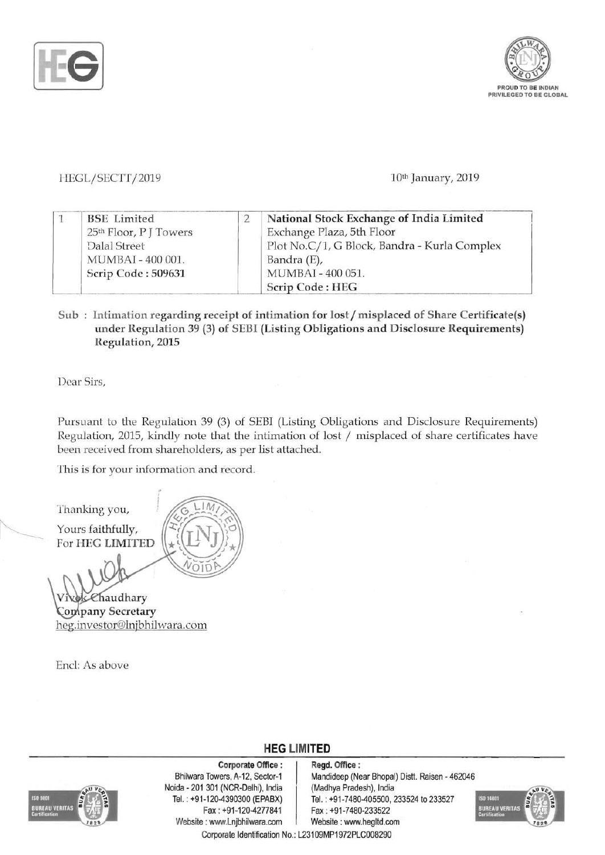



## *HEGL/SECTT/2019* 10th January, 2019

|  | <b>BSE</b> Limited                 |  | National Stock Exchange of India Limited     |  |
|--|------------------------------------|--|----------------------------------------------|--|
|  | 25 <sup>th</sup> Floor, P J Towers |  | Exchange Plaza, 5th Floor                    |  |
|  | Dalal Street                       |  | Plot No.C/1, G Block, Bandra - Kurla Complex |  |
|  | MUMBAI - 400 001.                  |  | Bandra (E),                                  |  |
|  | Scrip Code: 509631                 |  | MUMBAI - 400 051.                            |  |
|  |                                    |  | Scrip Code: HEG                              |  |

## Sub: Intimation regarding receipt of intimation for lost/misplaced of Share Certificate(s) under Regulation 39 (3) of SEBI (Listing Obligations and Disclosure Requirements) Regulation, 2015

Dear Sirs,

Pursuant to the Regulation 39 (3) of SEBI (Listing Obligations and Disclosure Requirements) Regulation, 2015, kindly note that the intimation of lost  $/$  misplaced of share certificates have been received from shareholders, as per list attached.

This is for your information and record.

Thanking you, Yours faithfully, For HEG LIMITED Chaudhary

Company Secretary heg.investor@lnjbhilwara.com

End: As above



Corporate Office : Regd. Office :<br>Bhilwara Towers. A-12. Sector-1 Mandideep (Ne Noida - 201 301 (NCR-Delhi), India (Madhya Pradesh), India Fax: +91-120-4277841 Fax: +91-7480-233522 Website: www.Lnjbhilwara.com | Website: www.hegltd.com

Mandideep (Near Bhopal) Distt. Raisen - 462046 Tei. : +91-120-4390300 (EPABX) Tel. : +91-7480-405500, 233524 to 233527



Corporate Identification No.: L23109MP1972PLC008290

**HEG LIMITED**